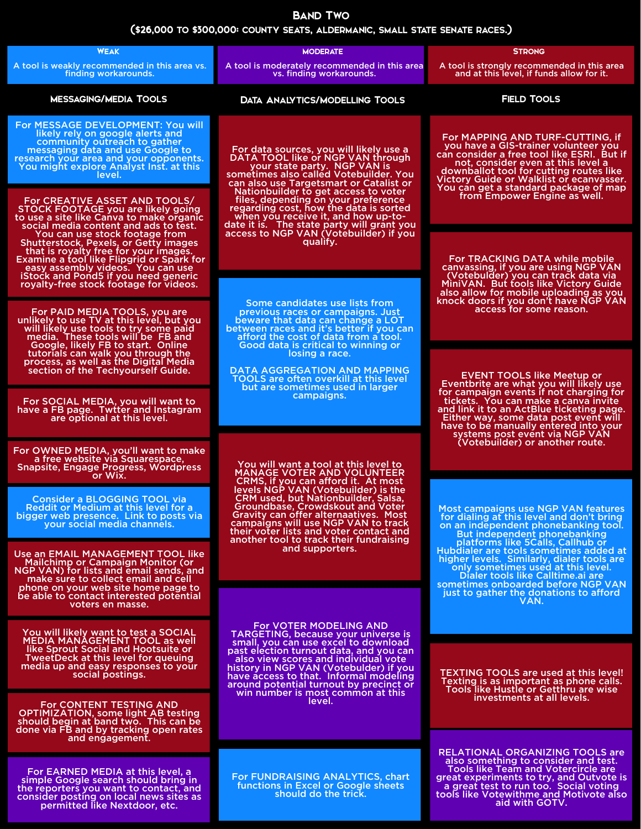Use an EMAIL MANAGEMENT TOOL like NGP VAN) for lists and email sends, and make sure to collect email and cell phone on your web site home page to be able to contact interested potential voters en masse.

You will likely want to test a SOCIAL MEDIA MANAGEMENT TOOL as well like Sprout Social and Hootsuite or TweetDeck at this level for queuing media up and easy responses to your social postings.

For CONTENT TESTING AND OPTIMIZATION, some light AB testing should begin at band two. This can be done via FB and by tracking open rates and engagement.

For EARNED MEDIA at this level, a simple Google search should bring in the reporters you want to contact, and consider posting on local news sites as permitted like Nextdoor, etc.

## or Wix.

Consider a BLOGGING TOOL via Reddit or Medium at this level for a bigger web presence. Link to posts via your social media channels.

| <b>WEAK</b>                                                                                                                                                                                                                                                                                        | <b>MODERATE</b>                                                                                                                                                                                                                                                                                                                                                                                                                                                                                                                                                                                                                                                                                                                                                                                                                                                          | <b>STRONG</b>                                                                                                                                                                                                                                                                                                                                                       |
|----------------------------------------------------------------------------------------------------------------------------------------------------------------------------------------------------------------------------------------------------------------------------------------------------|--------------------------------------------------------------------------------------------------------------------------------------------------------------------------------------------------------------------------------------------------------------------------------------------------------------------------------------------------------------------------------------------------------------------------------------------------------------------------------------------------------------------------------------------------------------------------------------------------------------------------------------------------------------------------------------------------------------------------------------------------------------------------------------------------------------------------------------------------------------------------|---------------------------------------------------------------------------------------------------------------------------------------------------------------------------------------------------------------------------------------------------------------------------------------------------------------------------------------------------------------------|
| A tool is weakly recommended in this area vs.<br>finding workarounds.                                                                                                                                                                                                                              | A tool is moderately recommended in this area<br>vs. finding workarounds.                                                                                                                                                                                                                                                                                                                                                                                                                                                                                                                                                                                                                                                                                                                                                                                                | A tool is strongly recommended in this area<br>and at this level, if funds allow for it.                                                                                                                                                                                                                                                                            |
| <b>MESSAGING/MEDIA TOOLS</b>                                                                                                                                                                                                                                                                       | <b>DATA ANALYTICS/MODELLING TOOLS</b>                                                                                                                                                                                                                                                                                                                                                                                                                                                                                                                                                                                                                                                                                                                                                                                                                                    | <b>FIELD TOOLS</b>                                                                                                                                                                                                                                                                                                                                                  |
| For MESSAGE DEVELOPMENT: You will<br>likely rely on google alerts and<br>community outreach to gather<br>messaging data and use Google to<br>research your area and your opponents.<br>You might explore Analyst Inst. at this<br>level.                                                           | For data sources, you will likely use a<br>DATA TOOL like or NGP VAN through<br>your state party. NGP VAN is<br>sometimes also called Votebuilder. You<br>can also use Targetsmart or Catalist or<br>Nationbuilder to get access to voter<br>files, depending on your preference<br>regarding cost, how the data is sorted<br>when you receive it, and how up-to-<br>date it is. The state party will grant you<br>access to NGP VAN (Votebuilder) if you<br>qualify.<br>Some candidates use lists from<br>previous races or campaigns. Just<br>beware that data can change a LOT<br>between races and it's better if you can<br>afford the cost of data from a tool.<br>Good data is critical to winning or<br>losing a race.<br><b>DATA AGGREGATION AND MAPPING</b><br><b>TOOLS are often overkill at this level</b><br>but are sometimes used in larger<br>campaigns. | For MAPPING AND TURF-CUTTING, if<br>you have a GIS-trainer volunteer you<br>can consider a free tool like ESRI. But if<br>not, consider even at this level a<br>downballot tool for cutting routes like<br>Victory Guide or Walklist or ecanvasser.<br>You can get a standard package of map                                                                        |
| For CREATIVE ASSET AND TOOLS/<br>STOCK FOOTAGE you are likely going<br>to use a site like Canva to make organic<br>social media content and ads to test.                                                                                                                                           |                                                                                                                                                                                                                                                                                                                                                                                                                                                                                                                                                                                                                                                                                                                                                                                                                                                                          | from Empower Engine as well.                                                                                                                                                                                                                                                                                                                                        |
| You can use stock footage from<br><b>Shutterstock, Pexels, or Getty images</b><br>that is royalty free for your images.<br><b>Examine a tool like Flipgrid or Spark for</b><br>easy assembly videos. You can use<br>iStock and Pond5 if you need generic<br>royalty-free stock footage for videos. |                                                                                                                                                                                                                                                                                                                                                                                                                                                                                                                                                                                                                                                                                                                                                                                                                                                                          | For TRACKING DATA while mobile<br>canvassing, if you are using NGP VAN<br>(Votebulder) you can track data via<br>MiniVAN. But tools like Victory Guide<br>also allow for mobile uploading as you<br>knock doors if you don't have NGP VAN<br>access for some reason.                                                                                                |
| For PAID MEDIA TOOLS, you are<br>unlikely to use TV at this level, but you<br>will likely use tools to try some paid<br>media. These tools will be FB and                                                                                                                                          |                                                                                                                                                                                                                                                                                                                                                                                                                                                                                                                                                                                                                                                                                                                                                                                                                                                                          |                                                                                                                                                                                                                                                                                                                                                                     |
| Google, likely FB to start. Online<br>tutorials can walk you through the<br>process, as well as the Digital Media<br>section of the Techyourself Guide.                                                                                                                                            |                                                                                                                                                                                                                                                                                                                                                                                                                                                                                                                                                                                                                                                                                                                                                                                                                                                                          | <b>EVENT TOOLS like Meetup or</b><br>Eventbrite are what you will likely use<br>for campaign events if not charging for<br>tickets. You can make a canva invite<br>and link it to an ActBlue ticketing page.<br>Either way, some data post event will<br>have to be manually entered into your<br>systems post event via NGP VAN<br>(Votebuilder) or another route. |
| For SOCIAL MEDIA, you will want to<br>have a FB page. Twtter and Instagram<br>are optional at this level.                                                                                                                                                                                          |                                                                                                                                                                                                                                                                                                                                                                                                                                                                                                                                                                                                                                                                                                                                                                                                                                                                          |                                                                                                                                                                                                                                                                                                                                                                     |
| For OWNED MEDIA, you'll want to make                                                                                                                                                                                                                                                               |                                                                                                                                                                                                                                                                                                                                                                                                                                                                                                                                                                                                                                                                                                                                                                                                                                                                          |                                                                                                                                                                                                                                                                                                                                                                     |

For Ownebsite via Squarespace,<br>Snapsite, Engage Progress, Wordpress

You will want a tool at this level to MANAGE VOTER AND VOLUNTEER CRMS, if you can afford it. At most levels NGP VAN (Votebuilder) is the CRM used, but Nationbuilder, Salsa, Groundbase, Crowdskout and Voter Gravity can offer alternaatives. Most campaigns will use NGP VAN to track their voter lists and voter contact and another tool to track their fundraising and supporters.

For VOTER MODELING AND TARGETING, because your universe is small, you can use excel to download past election turnout data, and you can also view scores and individual vote history in NGP VAN (Votebulder) if you have access to that. Informal modeling around potential turnout by precinct or win number is most common at this level.

For FUNDRAISING ANALYTICS, chart functions in Excel or Google sheets should do the trick.

RELATIONAL ORGANIZING TOOLS are also something to consider and test. Tools like Team and Votercircle are great experiments to try, and Outvote is a great test to run too. Social voting tools like Votewithme and Motivote also aid with GOTV.

Most campaigns use NGP VAN features for dialing at this level and don't bring on an independent phonebanking tool. But independent phonebanking Hubdialer are tools sometimes added at higher levels. Similarly, dialer tools are only sometimes used at this level. Dialer tools like Calltime.ai are sometimes onboarded before NGP VAN just to gather the donations to afford VAN.

TEXTING TOOLS are used at this level! Texting is as important as phone calls. Tools like Hustle or Getthru are wise investments at all levels.

(\$26,000 to \$300,000: county seats, aldermanic, small state senate races.)

## Band Two